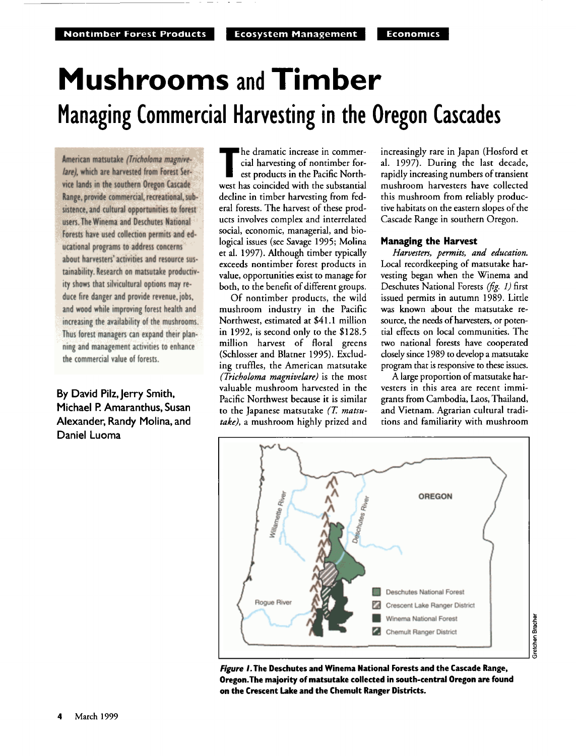# **Mushrooms and Timber Managing Commercial Harvesting in the Oregon Cascades**

American matsutake *(Tricholoma magnive***lare), which are harvested from Forest Service lands in the southern Oregon Cascade Range, provide commercial, recreational, subsistence, and cultural opportunities to forest users. The Winema and Deschutes National Forests have used collection permits and educational programs to address concerns about harvesters' activities and resource sustainability. Research on matsutake productivity shows that silvicultural options may reduce fire danger and provide revenue, jobs, and wood while improving forest health and increasing the availability of the mushrooms. Thus forest managers can expand their planning and management activities to enhance the commercial value of forests.** 

**By David Pilz, Jerry Smith, Michael P. Amaranthus, Susan Alexander, Randy Molina, and Daniel Luoma** 

**he dramatic increase in commercial harvesting of nontimber for**est products in the Pacific North**west has coincided with the substantial decline in timber harvesting from federal forests. The harvest of these products involves complex and interrelated social, economic, managerial, and biological issues (see Savage 1995; Molina et al. 1997). Although timber typically exceeds nontimber forest products in**  value, opportunities exist to manage for **both, to the benefit of different groups.** 

**Of nontimber products, the wild mushroom industry in the Pacific Northwest, estimated at \$41.1 million in 1992, is second only to the \$128.5 million harvest of floral greens (Schlosser and Blatner 1995). Excluding truffles, the American matsutake (•icholoma magnivelare) is the most valuable mushroom harvested in the Pacific Northwest because it is similar to the Japanese matsutake (T. matsutake), a mushroom highly prized and** 

**increasingly rare in Japan (Hosford et al. 1997). During the last decade, rapidly increasing numbers of transient mushroom harvesters have collected this mushroom from reliably productive habitats on the eastern slopes of the Cascade Range in southern Oregon.** 

### **Managing the Harvest**

**Harvesters, permits, and education. Local recordkeeping of matsutake harvesting began when the Winema and**  Deschutes National Forests (fig. 1) first **issued permits in autumn 1989. Little was known about the matsutake resource, the needs of harvesters, or potential effects on local communities. The two national forests have cooperated closely since 1989 to develop a matsutake program that is responsive to these issues.** 

**A large proportion ofmatsutake harvesters in this area are recent immigrants from Cambodia, Laos, Thailand, and Vietnam. Agrarian cultural traditions and familiarity with mushroom** 



**Figure I. The Deschutes and Winema National Forests and the Cascade Range, Oregon. The majority of matsutake collected in south-central Oregon are found on the Crescent Lake and the Chemult Ranger Districts.**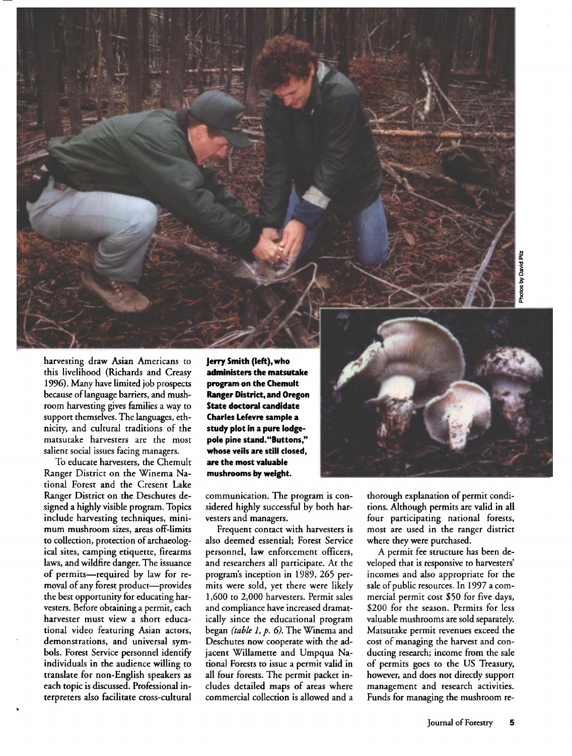**harvesting draw Asian Americans to this livelihood (Richards and Creasy 1996). Many have limited job prospects because oflanguage barriers, and mushroom harvesting gives families a way to support themselves. The languages, ethnicity, and cultural traditions of the matsutake harvesters are the most salient social issues facing managers.** 

**To educate harvesters, the Chemult Ranger District on the Winema National Forest and the Cresent Lake Ranger District on the Deschutes designed ahighly visible program. Topics include harvesting techniques, minimum mushroom sizes, areas off-limits to collection, protection of archaeological sites, camping etiquette, firearms laws, and wildfire danger. The issuance**  of permits-required by law for re**moval of any forest product--provides the best opportunity for educating harvesters. Before obtaining a permit, each harvester must view a short educational video featuring Asian actors, demonstrations, and universal symbols. Forest Service personnel identify individuals in the audience willing to translate for non-English speakers as each topic is discussed. Professional interpreters also facilitate cross-cultural**  **Jerry Smith (left), who administers the matsutake program on the Chemult Ranger District, and Oregon State doctoral candidate Charles Lefevre sample a study plot in a pure lodgepole pine stand."Buttons," whose veils are still closed, are the most valuable mushrooms by weight.** 

**communication. The program is con**sidered highly successful by both har**vesters and managers.** 

**Frequent contact with harvesters is also deemed essential; Forest Service**  personnel, law enforcement officers, **and researchers all participate. At the program's inception in 1989, 265 permits were sold, yet there were likely 1,600 to 2,000 harvesters. Permit sales and compliance have increased dramatically since the educational program began (table l, p. 6). The Winema and Deschutes now cooperate with the adjacent Willamette and Umpqua National Forests to issue a permit valid in all four forests. The permit packet includes detailed maps of areas where commercial collection is allowed and a** 

thorough explanation of permit condi**tions. Although permits are valid in all four participating national forests, most are used in the ranger district where they were purchased.** 

**A permit fee structure has been developed that is responsive to harvesters' incomes and also appropriate for the sale of public resources. In 1997 a commercial permit cost \$50 for five days, \$200 for the season. Permits for less valuable mushrooms are sold separately. Matsutake permit revenues exceed the cost of managing the harvest and conducting research; income from the sale of permits goes to the US Treasury, however, and does not directly support management and research activities. Funds for managing the mushroom re-**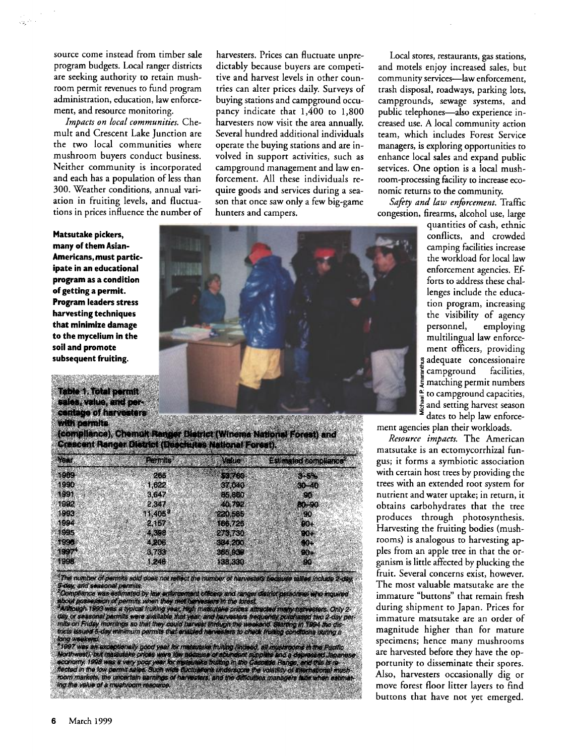**source come instead from timber sale program budgets. Local ranger districts are seeking authority to retain mushroom permit revenues to fund program administration, education, law enforcement, and resource monitoring.** 

**Impacts on local communities. Chemult and Crescent Lake Junction are the two local communities where mushroom buyers conduct business. Neither community is incorporated and each has a population of less than 300. Weather conditions, annual variation in fruiting levels, and fluctuations in prices influence the number of** 

**Matsutake pickers, many of them Asian-Americans, must participate in an educational program as a condition of getting a permit. Program leaders stress harvesting techniques that minimize damage to the mycelium in the soil and promote subsequent fruiting.** 

**Table 1. Total permit sales, value, and percentage of harvesters with permits** 

**(compliance), Chemult Ranger District (Winema National Forest) and Crescent Ranger District (Deschutes National Forest).** 

| e est        | <b>Permits</b>   | Valve             | <b>Estimated compliance"</b> |
|--------------|------------------|-------------------|------------------------------|
| 1989         | 265              | 5237603           | <b><i><u>ALAMA</u></i></b>   |
| 1990         | 1.622            | 37.040            | $30 - 40$                    |
| 1991         | 3.647            | 85,860            | 96.                          |
| 1992<br>1993 | 2.347<br>11.405* | 40.792<br>220,585 | 80.90<br>80                  |
| 1994         | 2.157            | 166.726           | $00 +$                       |
| 1995         | 4,398            | 273,730           | <b>CO.</b>                   |
| <b>SSSIE</b> | 4.206            | 3345200           | GO4.                         |
| 1997*        | 3.733            | 355.939           | 914                          |
| 1998         | 1,246            | 138.330           | 90                           |

: The number of permits sold does not reflect the humber of harvestats because tallies include 2-day.<br>5-day, and seasonal permits<br>- Compliance was estimated by law enforcement officers and ranger detrior personnel who inqu **tricts issued 5-day minimum permits that enabled harvesters to check fruiting conditions dudrig a**  rong weekend.<br>\*1997 was an exceptionally good year for materialise fruiting (indeed, all musincoms in the Pacific<br>Northwest), but materials professions for this and the fourth supples and a dependent subparties is a<br>discri

**harvesters. Prices can fluctuate unpredictably because buyers are competitive and harvest levels in other countries can alter prices daily. Surveys of buying stations and campground occupancy indicate that 1,400 to 1,800 harvesters now visit the area annually. Several hundred additional individuals operate the buying stations and are involved in support activities, such as campground management and law enforcement. All these individuals require goods and services during a season that once saw only a few big-game hunters and campers.** 

**Local stores, restaurants, gas stations, and motels enjoy increased sales, but**  community services---law enforcement. **trash disposal, roadways, parking lots,**  campgrounds, sewage systems, and public telephones-also experience in**creased use. A local community action team, which includes Forest Service managers, is exploring opportunities to enhance local sales and expand public services. One option is a local mushroom-processing facility to increase economic returns to the community.** 

Safety and law enforcement. Traffic **congestion, firearms, alcohol use, large** 

> **quantities of cash, ethnic conflicts, and crowded camping facilities increase the workload for local law enforcement agencies. Efforts to address these challenges include the education program, increasing the visibility of agency personnel, employing multilingual law enforcement officers, providing • adequate concessionaire<br>• campground facilities. • campground facilities, <• matching permit numbers -• to campground capacities, • and setting harvest season**  dates to help law enforce-

**ment agencies plan their workloads.** 

**Resource impacts. The American matsutake is an ectomycorrhizal fungus; it forms a symbiotic association**  with certain host trees by providing the **trees with an extended root system for nutrient and water uptake; in return, it obtains carbohydrates that the tree produces through photosynthesis. Harvesting the fruiting bodies (mush**rooms) is analogous to harvesting ap**ples from an apple tree in that the organism is little affected by plucking the fruit. Several concerns exist, however. The most valuable matsutake are the immature "buttons" that remain fresh during shipment to Japan. Prices for immature matsutake are an order of magnitude higher than for mature specimens; hence many mushrooms are harvested before they have the opportunity to disseminate their spores. Also, harvesters occasionally dig or move forest floor litter layers to find buttons that have not yet emerged.** 

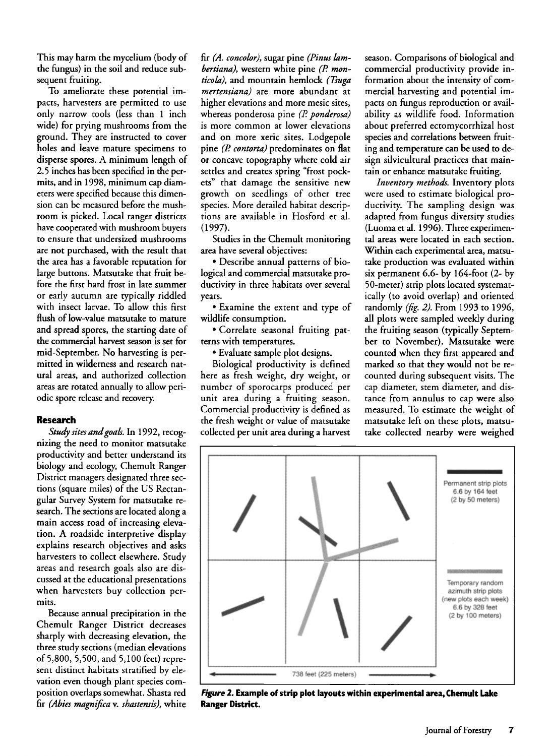**This may harm the mvcelium (body of the fungus) in the soil and reduce subsequent fruiting.** 

**To ameliorate these potential impacts, harvesters are permitted to use only narrow tools (less than 1 inch wide) for prying mushrooms from the ground. They are instructed to cover holes and leave mature specimens to disperse spores. A minimum length of**  2.5 inches has been specified in the per**mits, and in 1998, minimum cap diameters were specified because this dimension can be measured before the mushroom is picked. Local ranger districts have cooperated with mushroom buyers to ensure that undersized mushrooms**  are not purchased, with the result that **the area has a favorable reputation for large buttons. Matsutake that fruit before the first hard frost in late summer or early autumn are typically riddied with insect larvae. To allow this first flush of low-value matsutake to mature and spread spores, the starting date of the commercial harvest season is set for**  mid-September. No harvesting is per**mitted in wilderness and research natural areas, and authorized collection areas are rotated annually to allow periodic spore release and recovery.** 

#### **Research**

**Study sites and goals. In 1992, recognizing the need to monitor matsutake productivity and better understand its biology and ecology, Chemult Ranger District managers designated three sections (square miles) of the US Rectangular Survey System for matsutake research. The sections are located along a main access road of increasing elevation. A roadside interpretive display explains research objectives and asks harvesters to collect elsewhere. Study areas and research goals also are discussed at the educational presentations when harvesters buy collection permits.** 

**Because annual precipitation in the Chemult Ranger District decreases sharply with decreasing elevation, the three study sections (median elevations of 5,800, 5,500, and 5,100 feet) repre**sent distinct habitats stratified by ele**vation even though plant species composition overlaps somewhat. Shasta red fir (Abies magnifica v. shastensis), white** 

**fir (A. concolor), sugar pine (Pinus lam**bertiana), western white pine (P. monticola), and mountain hemlock (Tsuga **mertensiana) are more abundant at**  higher elevations and more mesic sites, **whereas ponderosa pine (P. ponderosa) is more common at lower elevations and on more xeric sites. Lodgepole pine (P. contorta) predominates on flat or concave topography where cold air**  settles and creates spring "frost pock**ets" that damage the sensitive new growth on seedlings of other tree species. More detailed habitat descriptions are available in Hosford et al. (1997).** 

**Studies in the Chemult monitoring area have several objectives:** 

**ß Describe annual patterns of biological and commercial matsutake productivity in three habitats over several years.** 

**ß Examine the extent and type of wildlife consumption.** 

**ß Correlate seasonal fruiting patterns with temperatures.** 

**ß Evaluate sample plot designs.** 

**Biological productivity is defined here as fresh weight, dry weight, or number of sporocarps produced per unit area during a fruiting season. Commercial productivity is defined as the fresh weight or value of matsutake collected per unit area during a harvest**  **season. Comparisons of biological and commercial productivity provide information about the intensity of commercial harvesting and potential impacts on fungus reproduction or availability as wildlife food. Information about preferred ectomycorrhizal host species and correlations between fruiting and temperature can be used to design silvicultural practices that maintain or enhance matsutake fruiting.** 

**Inventory methods. Inventory plots were used to estimate biological productivity. The sampling design was adapted from fungus diversity studies (Luoma et al. 1996). Three experimental areas were located in each section. Within each experimental area, matsutake production was evaluated within six permanent 6.6- by 164-foot (2- by 50-meter) strip plots located systematically (to avoid overlap) and oriented randomly (fig. 2). From 1993 to 1996, all plots were sampled weekly during the fruiting season (typically September to November). Matsutake were counted when they first appeared and marked so that they would not be recounted during subsequent visits. The cap diameter, stem diameter, and distance from annulus to cap were also measured. To estimate the weight of matsutake left on these plots, matsutake collected nearby were weighed** 



**Figure 2. Example of strip plot layouts within experimental area, Chemult Lake Ranger District.**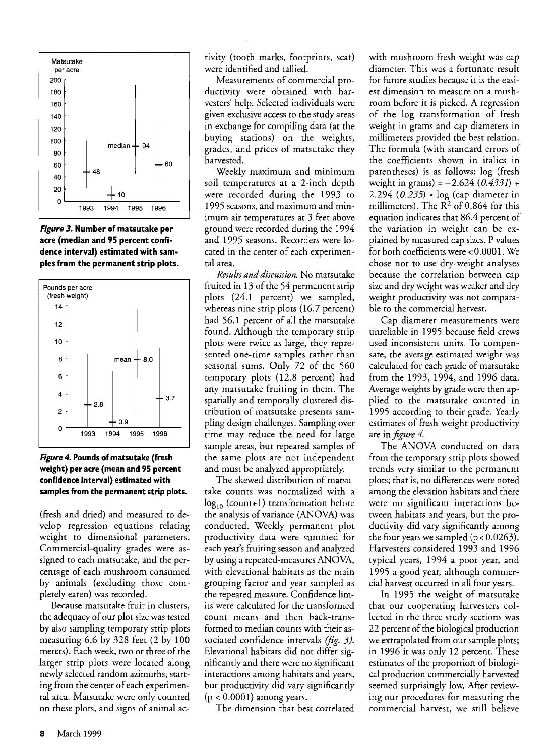

**Figure 3. Number of matsutake per acre (median and 95 percent confidence interval) estimated with samples from the permanent strip plots.** 



**Figure 4. Pounds of matsutake (fresh weight) per acre (mean and 95 percent confidence interval) estimated with samples from the permanent strip plots.** 

**(fresh and dried) and measured to develop regression equations relating weight to dimensional parameters. Commercial-quality grades were assigned to each matsutake, and the percentage of each mushroom consumed by animals (excluding those completely eaten) was recorded.** 

**Because matsutake fruit in clusters,**  the adequacy of our plot size was tested **by also sampling temporary strip plots measuring 6.6 by 328 feet (2 by 100 meters). Each week, two or three of the larger strip plots were located along newly selected random azimuths, starting from the center of each experimental area. Matsutake were only counted on these plots, and signs of animal ac-** **tivity (tooth marks, footprints, scat) were identified and tallied.** 

**Measurements of commercial productivity were obtained with harvesters' help. Selected individuals were**  given exclusive access to the study areas **in exchange for compiling data (at the buying stations) on the weights, grades, and prices of matsutake they harvested.** 

**Weekly maximum and minimum soil temperatures ata 2-inch depth were recorded during the 1993 to 1995 seasons, and maximum and minimum air temperatures at 3 feet above ground were recorded during the 1994 and 1995 seasons. Recorders were located in the center of each experimental area.** 

**Results and discussion. No matsutake fruited in 13 of the 54 permanent strip plots (24.1 percent) we sampled, whereas nine strip plots (16.7 percent) had 56.1 percent of all the matsutake found. Although the temporary strip plots were twice as large, they represented one-time samples rather than seasonal sums. Only 72 of the 560 temporary plots (12.8 percent) had any matsutake fruiting in them. The spatially and temporally clustered distribution of matsutake presents sampling design challenges. Sampling over time may reduce the need for large sample areas, but repeated samples of the same plots are not independent and must be analyzed appropriately.** 

**The skewed distribution of matsutake counts was normalized with a**  log<sub>10</sub> (count+1) transformation before **the analysis of variance (ANOVA) was conducted. Weekly permanent plot productivity data were summed for each year's fruiting season and analyzed by using arepeated-measures ANOVA, with elevational habitats as the main grouping factor and year sampled as the repeated measure. Confidence limits were calculated for the transformed count means and then back-transformed to median counts with their associated confidence intervals (fig. 3). Elevational habitats did not differ significantly and there were no significant interactions among habitats and years, but productivity did vary significantly (p < 0.0001) among years.** 

**The dimension that best correlated** 

**with mushroom fresh weight was cap diameter. This was a fortunate result for future studies because it is the easiest dimension to measure on a mushroom before it is picked. A regression of the log transformation of fresh weight in grams and cap diameters in millimeters provided the best relation. The formula (with standard errors of the coefficients shown in italics in parentheses) is as follows: log (fresh**  weight in grams) =  $-2.624$  (0.4331) + **2.294 (0.235) \* log (cap diameter in**  millimeters). The  $R^2$  of 0.864 for this **equation indicates that 86.4 percent of the variation in weight can be explained by measured cap sizes. P values for both coefficients were < 0.0001. We chose not to use dry-weight analyses because the correlation between cap size and dry weight was weaker and dry weight productivity was not comparable to the commercial harvest.** 

**Cap diameter measurements were unreliable in 1995 because field crews used inconsistent units. To compensate, the average estimated weight was calculated for each grade of matsutake from the 1993, 1994, and 1996 data. Average weights by grade were then applied to the matsutake counted in 1995 according to their grade. Yearly estimates of fresh weight productivity are in figure 4.** 

**The ANOVA conducted on data from the temporary strip plots showed trends very similar to the permanent plots; that is, no differences were noted among the elevation habitats and there were no significant interactions between habitats and years, but the productivity did vary significantly among**  the four years we sampled  $(p < 0.0263)$ . **Harvesters considered 1993 and 1996 typical years, 1994 a poor year, and 1995 a good year, although commercial harvest occurred in all four years.** 

**In 1995 the weight of matsutake that our cooperating harvesters collected in the three study sections was 22 percent of the biological production we extrapolated from our sample plots; in 1996 it was only 12 percent. These**  estimates of the proportion of biologi**cal production commercially harvested seemed surprisingly low. After reviewing our procedures for measuring the commercial harvest, we still believe**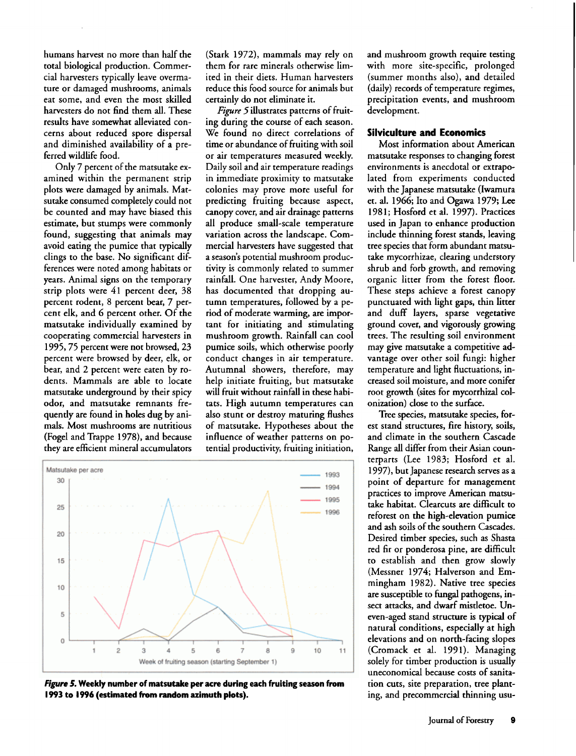**humans harvest no more than half the total biological production. Commercial harvesters typically leave overmature or damaged mushrooms, animals eat some, and even the most skilled harvesters do not find them all. These results have somewhat alleviated concerns about reduced spore dispersal and diminished availability of a preferred wildlife food.** 

**Only 7 percent of the matsutake examined within the permanent strip plots were damaged by animals. Matsutake consumed completely could not be counted and may have biased this estimate, but stumps were commonly found, suggesting that animals may avoid eating the pumice that typically clings to the base. No significant differences were noted among habitats or years. Animal signs on the temporary strip plots were 41 percent deer, 38 percent rodent, 8 percent bear, 7 percent elk, and 6 percent other. Of the matsutake individually examined by cooperating commercial harvesters in 1995, 75 percent were not browsed, 23 percent were browsed by deer, elk, or bear, and 2 percent were eaten by rodents. Mammals are able to locate matsutake underground by their spicy odor, and matsutake remnants frequently are found in holes dug by animals. Most mushrooms are nutritious (Fogel and Trappe 1978), and because they are efficient mineral accumulators** 

**(Stark 1972), mammals may rely on them for rare minerals otherwise limited in their diets. Human harvesters reduce this food source for animals but certainly do not eliminate it.** 

**Figure 5illustrates patterns of fruiting during the course of each season. We found no direct correlations of**  time or abundance of fruiting with soil **or air temperatures measured weekly. Daily soil and air temperature readings in immediate proximity to matsutake colonies may prove more useful for predicting fruiting because aspect, canopy cover, and air drainage patterns all produce small-scale temperature variation across the landscape. Commercial harvesters have suggested that a season's potential mushroom productivity is commonly related to summer rainfall. One harvester, Andy Moore, has documented that dropping autumn temperatures, followed by a period of moderate warming, are important for initiating and stimulating mushroom growth. Rainfall can cool pumice soils, which otherwise poorly conduct changes in air temperature. Autumnal showers, therefore, may help initiate fruiting, but matsutake will fruit without rainfall in these habitats. High autumn temperatures can also stunt or destroy maturing flushes of matsutake. Hypotheses about the influence of weather patterns on potential productivity, fruiting initiation,** 



**Figure \$. Weekly number of matsutake per acre during each fruiting season from 1993 to 1996 (estimated from random azimuth plots).** 

**and mushroom growth require testing with more site-specific, prolonged (summer months also), and detailed**  (daily) records of temperature regimes, **precipitation events, and mushroom development.** 

# **Silviculture and Economics**

**Most information about American matsutake rsponses to changing forest environments is anecdotal or extrapolated from experiments conducted with the Japanese matsutake (Iwamura et. al. 1966; Ito and Ogawa 1979; Lee 1981; Hosford et al. 1997). Practices used in Japan to enhance production include thinning forest stands, leaving tree species that form abundant matsutake mycorrhizae, clearing understory shrub and forb growth, and removing organic litter from the forest floor. These steps achieve a forest canopy punctuated with light gaps, thin litter and duff layers, sparse vegetative ground cover, and vigorously growing trees. The resulting soil environment may give matsutake a competitive advantage over other soil fungi: higher temperature and light fluctuations, increased soil moisture, and more conifer root growth (sites for mycorrhizal colonization) close to the surface.** 

**Tree species, matsutake species, forest stand structures, fire history, soils, and climate in the southern Cascade Range all differ from their Asian counterparts (Lee 1983; Hosford et al. 1997), but Japanese research serves as a point of departure for management practices to improve American matsutake habitat. Clearcuts are difficult to reforest on the high-elevation pumice and ash soils of the southern Cascades. Desired timber species, such as Shasta red fir or ponderosa pine, are difficult to establish and then grow slowly (Messner 1974; Halverson and Emmingham 1982). Native tree species are susceptible to fungal pathogens, insect attacks, and dwarf mistletoe. Uneven-aged stand structure is typical of natural conditions, especially athigh elevations and on north-facing slopes (Cromack et al. 1991). Managing solely for timber production is usually uneconomical because costs of sanitation cuts, site preparation, tree planting, and precommercial thinning usu-**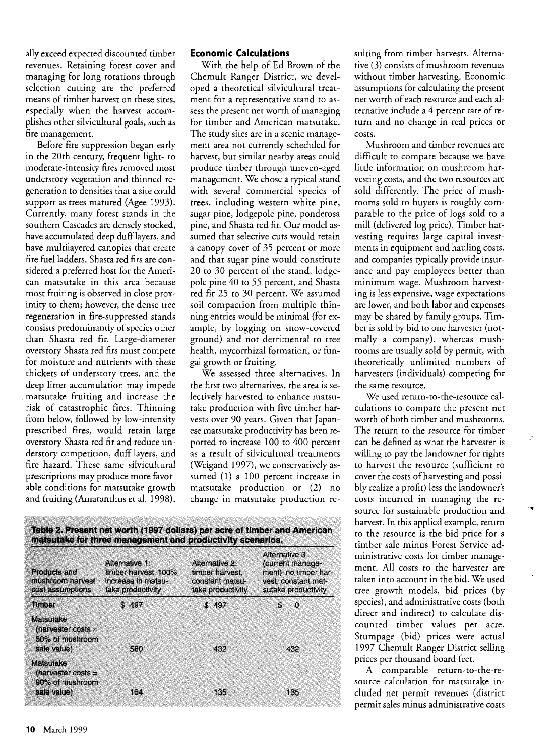**ally exceed expected discounted timber revenues. Retaining forest cover and managing for long rotations through selection cutting are the preferred means of timber harvest on these sites, especially when the harvest accomplishes other silvicultural goals, such as fire management.** 

**Before fire suppression began early in the 20th century, frequent light- to moderate-intensity fres removed most understory vegetation and thinned regeneration to densities that a site could support as trees matured (Agee 1993). Currently, many forest stands in the southern Cascades are densely stocked, have accumulated deep duff layers, and have multilayered canopies that create fire fuel ladders. Shasta red firs are considered a preferred host for the American matsutake in this area because**  most fruiting is observed in close prox**imity to them; however, the dense tree regeneration in fire-suppressed stands consists predominantly of species other than Shasta red fir. Large-diameter overstory Shasta red firs must compete for moisture and nutrients with these thickets of understory trees, and the deep litter accumulation may impede matsutake fruiting and increase the risk of catastrophic fires. Thinning from below, followed by low-intensity prescribed fires, would retain large overstory Shasta red fir and reduce understory competition, duff layers, and fire hazard. These same silvicultural prescriptions may produce more favorable conditions for matsutake growth and fruiting (Amaranthus et al. 1998).** 

## **Economic Calculations**

**With the help of Ed Brown of the Chemult Ranger District, we developed a theoretical silvicultural treatment for a representative stand to assess the present net worth of managing for timber and American matsutake. The study sites are in a scenic management area not currently scheduled for harvest, but similar nearby areas could produce timber through uneven-aged**  management. We chose a typical stand **with several commercial species of trees, including western white pine, sugar pine, lodgepole pine, ponderosa pine, and Shasta red fir. Our model assumed that selective cuts would retain a canopy cover of 35 percent or more and that sugar pine would constitute 20 to 30 percent of the stand, lodgepole pine 40 to 55 percent, and Shasta red fir 25 to 30 percent. We assumed soil compaction from multiple thinning entries would be minimal (for example, by logging on snow-covered ground) and not detrimental to tree health, mycorrhizal formation, or fungal growth or fruiting.** 

**We assessed three alternatives. In the first two alternatives, the area is selectively harvested to enhance matsutake production with five timber harvests over 90 years. Given that Japanese matsutake productivity has been reported to increase 100 to 400 percent as a result of silvicultural treatments (Weigand 1997), we conservatively assumed (1) a 100 percent increase in matsutake production or (2) no change in matsutake production re-**

| Products and<br>mushroom harvest<br>cost assumptions                | Alternative 1:<br>timber harvest, 100%<br>increase in matsu-<br>take productivity | Alternative 2:<br>timber harvest.<br>constant matsu-<br>take productivity | Alternative 3<br>(current manage-<br>ment); no timber har-<br>vest, constant mat-<br>sutake productivity |
|---------------------------------------------------------------------|-----------------------------------------------------------------------------------|---------------------------------------------------------------------------|----------------------------------------------------------------------------------------------------------|
| Timber                                                              | \$497                                                                             | \$497                                                                     | $\mathbf{0}$<br>9                                                                                        |
| Matsutake<br>(harvester costs $=$<br>50% of mushroom<br>sale value) | 580                                                                               | 432                                                                       | 432                                                                                                      |
| Matsutake<br>(harvester costs $=$<br>90% of mushroom<br>sale value) | 164                                                                               | 135                                                                       | 135                                                                                                      |

**suiting from timber harvests. Alternative (3) consists of mushroom revenues without timber harvesting. Economic**  assumptions for calculating the present **net worth of each resource and each alternative include a 4 percent rate of return and no change in real prices or COSTS.** 

**Mushroom and timber revenues are difficult to compare because we have little information on mushroom harvesting costs, and the two resources are sold differently. The price of mushrooms sold to buyers is roughly comparable to the price of logs sold to a mill (delivered log price). Timber harvesting requires large capital investments in equipment and hauling costs, and companies typically provide insurance and pay employees better than minimum wage. Mushroom harvesting is less expensive, wage expectations are lower, and both labor and expenses may be shared by family groups. Timber is sold by bid to one harvester (normally a company), whereas mushrooms are usually sold by permit, with theoretically unlimited numbers of harvesters (individuals) competing for the same resource.** 

**We used return-to-the-resource calculations to compare the present net worth of both timber and mushrooms. The return to the resource for timber can be defined as what the harvester is willing to pay the landowner for rights to harvest the resource (sufficient to cover the costs of harvesting and possibly realize aprofit) less the landowner's costs incurred in managing the resource for sustainable production and harvest. In this applied example, return to the resource is the bid price for a timber sale minus Forest Service administrative costs for timber management. All costs to the harvester are taken into account in the bid. We used tree growth models, bid prices (by species), and administrative costs (both direct and indirect) to calculate discounted timber values per acre. Stumpage (bid) prices were actual 1997 Chemult Ranger District selling prices per thousand board feet.** 

**A comparable return-to-the-resource calculation for matsutake included net permit revenues (district permit sales minus administrative costs**